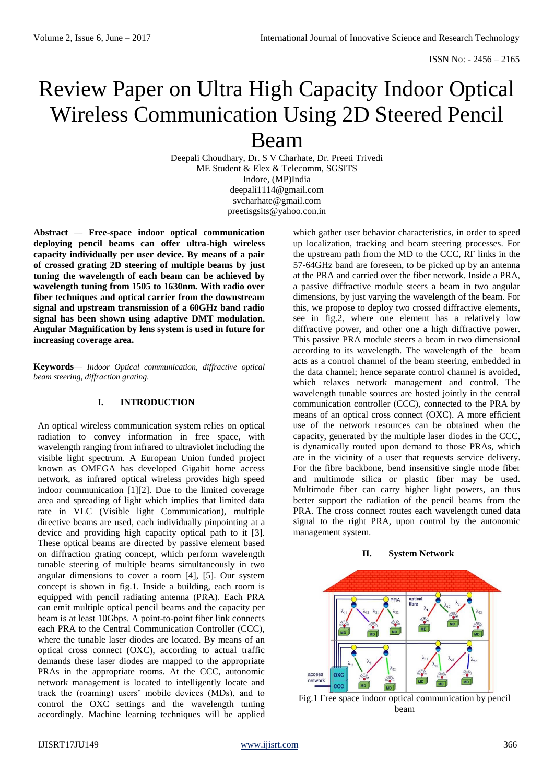# Review Paper on Ultra High Capacity Indoor Optical Wireless Communication Using 2D Steered Pencil Beam

Deepali Choudhary, Dr. S V Charhate, Dr. Preeti Trivedi ME Student & Elex & Telecomm, SGSITS Indore, (MP)India deepali1114@gmail.com svcharhate@gmail.com preetisgsits@yahoo.con.in

**Abstract** *—* **Free-space indoor optical communication deploying pencil beams can offer ultra-high wireless capacity individually per user device. By means of a pair of crossed grating 2D steering of multiple beams by just tuning the wavelength of each beam can be achieved by wavelength tuning from 1505 to 1630nm. With radio over fiber techniques and optical carrier from the downstream signal and upstream transmission of a 60GHz band radio signal has been shown using adaptive DMT modulation. Angular Magnification by lens system is used in future for increasing coverage area.**

**Keywords***— Indoor Optical communication, diffractive optical beam steering, diffraction grating.*

# **I. INTRODUCTION**

An optical wireless communication system relies on optical radiation to convey information in free space, with wavelength ranging from infrared to ultraviolet including the visible light spectrum. A European Union funded project known as OMEGA has developed Gigabit home access network, as infrared optical wireless provides high speed indoor communication [1][2]. Due to the limited coverage area and spreading of light which implies that limited data rate in VLC (Visible light Communication), multiple directive beams are used, each individually pinpointing at a device and providing high capacity optical path to it [3]. These optical beams are directed by passive element based on diffraction grating concept, which perform wavelength tunable steering of multiple beams simultaneously in two angular dimensions to cover a room [4], [5]. Our system concept is shown in fig.1. Inside a building, each room is equipped with pencil radiating antenna (PRA). Each PRA can emit multiple optical pencil beams and the capacity per beam is at least 10Gbps. A point-to-point fiber link connects each PRA to the Central Communication Controller (CCC), where the tunable laser diodes are located. By means of an optical cross connect (OXC), according to actual traffic demands these laser diodes are mapped to the appropriate PRAs in the appropriate rooms. At the CCC, autonomic network management is located to intelligently locate and track the (roaming) users' mobile devices (MDs), and to control the OXC settings and the wavelength tuning accordingly. Machine learning techniques will be applied

which gather user behavior characteristics, in order to speed up localization, tracking and beam steering processes. For the upstream path from the MD to the CCC, RF links in the 57-64GHz band are foreseen, to be picked up by an antenna at the PRA and carried over the fiber network. Inside a PRA, a passive diffractive module steers a beam in two angular dimensions, by just varying the wavelength of the beam. For this, we propose to deploy two crossed diffractive elements, see in fig.2, where one element has a relatively low diffractive power, and other one a high diffractive power. This passive PRA module steers a beam in two dimensional according to its wavelength. The wavelength of the beam acts as a control channel of the beam steering, embedded in the data channel; hence separate control channel is avoided, which relaxes network management and control. The wavelength tunable sources are hosted jointly in the central communication controller (CCC), connected to the PRA by means of an optical cross connect (OXC). A more efficient use of the network resources can be obtained when the capacity, generated by the multiple laser diodes in the CCC, is dynamically routed upon demand to those PRAs, which are in the vicinity of a user that requests service delivery. For the fibre backbone, bend insensitive single mode fiber and multimode silica or plastic fiber may be used. Multimode fiber can carry higher light powers, an thus better support the radiation of the pencil beams from the PRA. The cross connect routes each wavelength tuned data signal to the right PRA, upon control by the autonomic management system.





Fig.1 Free space indoor optical communication by pencil beam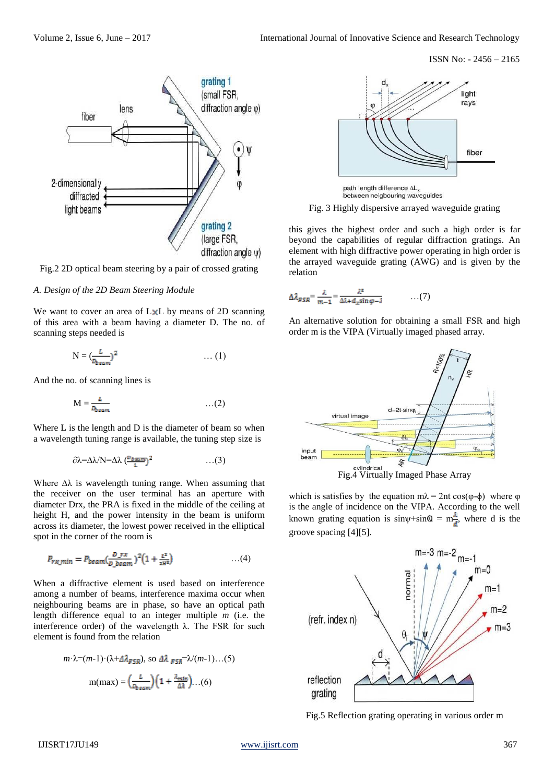

Fig.2 2D optical beam steering by a pair of crossed grating

#### *A. Design of the 2D Beam Steering Module*

We want to cover an area of LxL by means of 2D scanning of this area with a beam having a diameter D. The no. of scanning steps needed is

$$
N = \left(\frac{L}{D_{\text{beam}}}\right)^2 \qquad \qquad \dots (1)
$$

And the no. of scanning lines is

$$
M = \frac{L}{D_{beam}} \qquad \qquad \ldots (2)
$$

Where L is the length and D is the diameter of beam so when a wavelength tuning range is available, the tuning step size is

$$
\partial \lambda = \Delta \lambda / N = \Delta \lambda \left( \frac{D_{\text{beam}}}{I} \right)^2 \qquad \qquad \dots (3)
$$

Where  $\Delta\lambda$  is wavelength tuning range. When assuming that the receiver on the user terminal has an aperture with diameter Drx, the PRA is fixed in the middle of the ceiling at height H, and the power intensity in the beam is uniform across its diameter, the lowest power received in the elliptical spot in the corner of the room is

$$
P_{rx\_min} = P_{beam}(\frac{D\_rx}{D\_beam})^2 (1 + \frac{L^2}{2H^2}) \tag{4}
$$

When a diffractive element is used based on interference among a number of beams, interference maxima occur when neighbouring beams are in phase, so have an optical path length difference equal to an integer multiple *m* (i.e. the interference order) of the wavelength λ. The FSR for such element is found from the relation

$$
m \cdot \lambda = (m-1) \cdot (\lambda + \Delta \lambda_{FSR}), \text{ so } \Delta \lambda_{FSR} = \lambda/(m-1)...(5)
$$

$$
m(max) = \left(\frac{\lambda}{D_{\text{beam}}}\right) \left(1 + \frac{\lambda_{\text{mtr}}}{\Delta \lambda}...\right)
$$



path length difference AL, between neigbouring waveguides

Fig. 3 Highly dispersive arrayed waveguide grating

this gives the highest order and such a high order is far beyond the capabilities of regular diffraction gratings. An element with high diffractive power operating in high order is the arrayed waveguide grating (AWG) and is given by the relation

$$
\Delta \lambda_{FSR} = \frac{\lambda}{m-1} = \frac{\lambda^2}{\Delta \lambda + d_x \sin \varphi - \lambda} \qquad \qquad \dots (7)
$$

An alternative solution for obtaining a small FSR and high order m is the VIPA (Virtually imaged phased array.



which is satisfies by the equation  $m\lambda = 2nt \cos(\phi - \phi)$  where  $\phi$ is the angle of incidence on the VIPA. According to the well known grating equation is sin $\psi$ +sin $\omega = m\frac{\lambda}{\epsilon}$ , where d is the groove spacing [4][5].



Fig.5 Reflection grating operating in various order m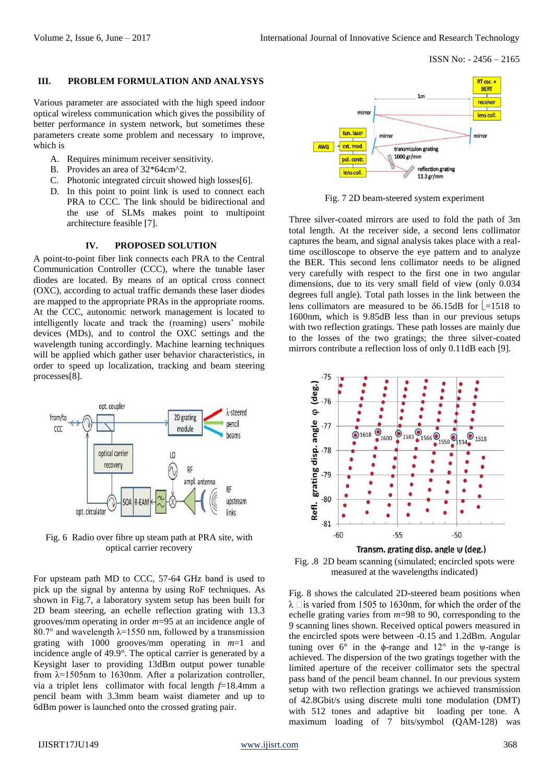# **III. PROBLEM FORMULATION AND ANALYSYS**

Various parameter are associated with the high speed indoor optical wireless communication which gives the possibility of better performance in system network, but sometimes these parameters create some problem and necessary to improve, which is

- A. Requires minimum receiver sensitivity.
- B. Provides an area of 32\*64cm^2.
- C. Photonic integrated circuit showed high losses[6].
- D. In this point to point link is used to connect each PRA to CCC. The link should be bidirectional and the use of SLMs makes point to multipoint architecture feasible [7].

## **IV. PROPOSED SOLUTION**

A point-to-point fiber link connects each PRA to the Central Communication Controller (CCC), where the tunable laser diodes are located. By means of an optical cross connect (OXC), according to actual traffic demands these laser diodes are mapped to the appropriate PRAs in the appropriate rooms. At the CCC, autonomic network management is located to intelligently locate and track the (roaming) users' mobile devices (MDs), and to control the OXC settings and the wavelength tuning accordingly. Machine learning techniques will be applied which gather user behavior characteristics, in order to speed up localization, tracking and beam steering processes[8].



Fig. 6 Radio over fibre up steam path at PRA site, with optical carrier recovery

For upsteam path MD to CCC, 57-64 GHz band is used to pick up the signal by antenna by using RoF techniques. As shown in Fig.7, a laboratory system setup has been built for 2D beam steering, an echelle reflection grating with 13.3 grooves/mm operating in order *m*=95 at an incidence angle of 80.7° and wavelength  $\lambda$ =1550 nm, followed by a transmission grating with 1000 grooves/mm operating in *m*=1 and incidence angle of 49.9°. The optical carrier is generated by a Keysight laser to providing 13dBm output power tunable from  $\lambda$ =1505nm to 1630nm. After a polarization controller, via a triplet lens collimator with focal length *f*=18.4mm a pencil beam with 3.3mm beam waist diameter and up to 6dBm power is launched onto the crossed grating pair.



Fig. 7 2D beam-steered system experiment

Three silver-coated mirrors are used to fold the path of 3m total length. At the receiver side, a second lens collimator captures the beam, and signal analysis takes place with a realtime oscilloscope to observe the eye pattern and to analyze the BER. This second lens collimator needs to be aligned very carefully with respect to the first one in two angular dimensions, due to its very small field of view (only 0.034 degrees full angle). Total path losses in the link between the lens collimators are measured to be  $\delta$ 6.15dB for  $\vert$  =1518 to 1600nm, which is 9.85dB less than in our previous setups with two reflection gratings. These path losses are mainly due to the losses of the two gratings; the three silver-coated mirrors contribute a reflection loss of only 0.11dB each [9].



Fig. .8 2D beam scanning (simulated; encircled spots were measured at the wavelengths indicated)

Fig. 8 shows the calculated 2D-steered beam positions when  $\lambda$   $\Box$  is varied from 1505 to 1630nm, for which the order of the echelle grating varies from *m*=98 to 90, corresponding to the 9 scanning lines shown. Received optical powers measured in the encircled spots were between -0.15 and 1.2dBm. Angular tuning over  $6^\circ$  in the  $\phi$ -range and  $12^\circ$  in the  $\psi$ -range is achieved. The dispersion of the two gratings together with the limited aperture of the receiver collimator sets the spectral pass band of the pencil beam channel. In our previous system setup with two reflection gratings we achieved transmission of 42.8Gbit/s using discrete multi tone modulation (DMT) with 512 tones and adaptive bit loading per tone. A maximum loading of 7 bits/symbol (QAM-128) was